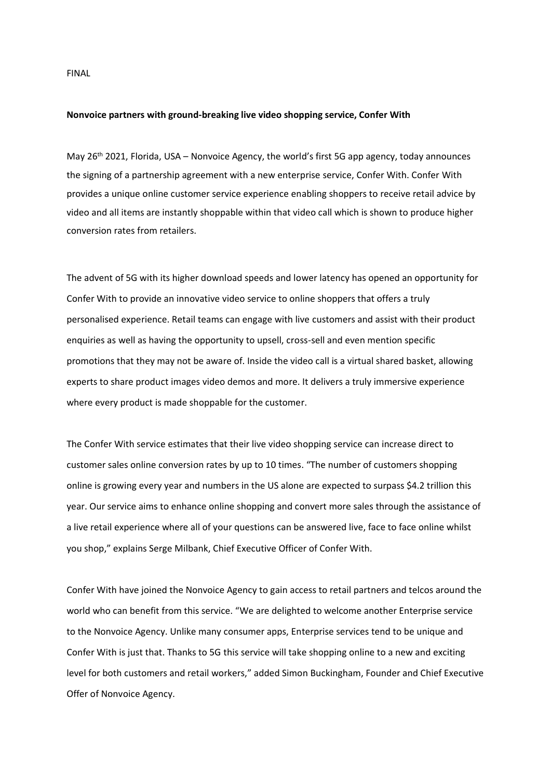FINAL

## **Nonvoice partners with ground-breaking live video shopping service, Confer With**

May 26<sup>th</sup> 2021, Florida, USA – Nonvoice Agency, the world's first 5G app agency, today announces the signing of a partnership agreement with a new enterprise service, Confer With. Confer With provides a unique online customer service experience enabling shoppers to receive retail advice by video and all items are instantly shoppable within that video call which is shown to produce higher conversion rates from retailers.

The advent of 5G with its higher download speeds and lower latency has opened an opportunity for Confer With to provide an innovative video service to online shoppers that offers a truly personalised experience. Retail teams can engage with live customers and assist with their product enquiries as well as having the opportunity to upsell, cross-sell and even mention specific promotions that they may not be aware of. Inside the video call is a virtual shared basket, allowing experts to share product images video demos and more. It delivers a truly immersive experience where every product is made shoppable for the customer.

The Confer With service estimates that their live video shopping service can increase direct to customer sales online conversion rates by up to 10 times. "The number of customers shopping online is growing every year and numbers in the US alone are expected to surpass \$4.2 trillion this year. Our service aims to enhance online shopping and convert more sales through the assistance of a live retail experience where all of your questions can be answered live, face to face online whilst you shop," explains Serge Milbank, Chief Executive Officer of Confer With.

Confer With have joined the Nonvoice Agency to gain access to retail partners and telcos around the world who can benefit from this service. "We are delighted to welcome another Enterprise service to the Nonvoice Agency. Unlike many consumer apps, Enterprise services tend to be unique and Confer With is just that. Thanks to 5G this service will take shopping online to a new and exciting level for both customers and retail workers," added Simon Buckingham, Founder and Chief Executive Offer of Nonvoice Agency.